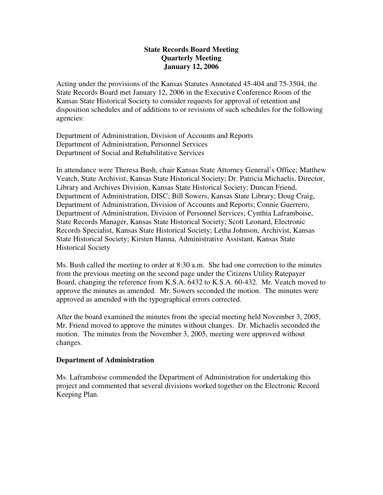# **State Records Board Meeting Quarterly Meeting January 12, 2006**

Acting under the provisions of the Kansas Statutes Annotated 45-404 and 75-3504, the State Records Board met January 12, 2006 in the Executive Conference Room of the Kansas State Historical Society to consider requests for approval of retention and disposition schedules and of additions to or revisions of such schedules for the following agencies:

Department of Administration, Division of Accounts and Reports Department of Administration, Personnel Services Department of Social and Rehabilitative Services

In attendance were Theresa Bush, chair Kansas State Attorney General's Office; Matthew Veatch, State Archivist, Kansas State Historical Society; Dr. Patricia Michaelis, Director, Library and Archives Division, Kansas State Historical Society; Duncan Friend, Department of Administration, DISC; Bill Sowers, Kansas State Library; Doug Craig, Department of Administration, Division of Accounts and Reports; Connie Guerrero, Department of Administration, Division of Personnel Services; Cynthia Laframboise, State Records Manager, Kansas State Historical Society; Scott Leonard, Electronic Records Specialist, Kansas State Historical Society; Letha Johnson, Archivist, Kansas State Historical Society; Kirsten Hanna, Administrative Assistant, Kansas State Historical Society

Ms. Bush called the meeting to order at 8:30 a.m. She had one correction to the minutes from the previous meeting on the second page under the Citizens Utility Ratepayer Board, changing the reference from K.S.A. 6432 to K.S.A. 60-432. Mr. Veatch moved to approve the minutes as amended. Mr. Sowers seconded the motion. The minutes were approved as amended with the typographical errors corrected.

After the board examined the minutes from the special meeting held November 3, 2005, Mr. Friend moved to approve the minutes without changes. Dr. Michaelis seconded the motion. The minutes from the November 3, 2005, meeting were approved without changes.

# **Department of Administration**

Ms. Laframboise commended the Department of Administration for undertaking this project and commented that several divisions worked together on the Electronic Record Keeping Plan.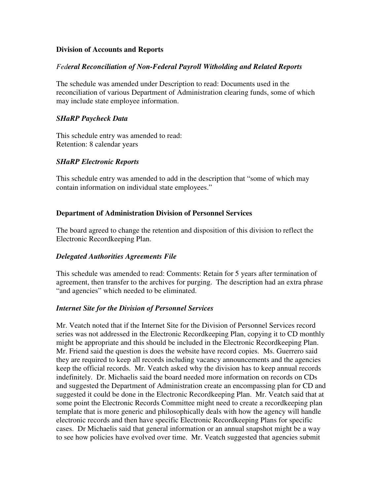## **Division of Accounts and Reports**

#### *Federal Reconciliation of Non-Federal Payroll Witholding and Related Reports*

The schedule was amended under Description to read: Documents used in the reconciliation of various Department of Administration clearing funds, some of which may include state employee information.

#### *SHaRP Paycheck Data*

This schedule entry was amended to read: Retention: 8 calendar years

## *SHaRP Electronic Reports*

This schedule entry was amended to add in the description that "some of which may contain information on individual state employees."

#### **Department of Administration Division of Personnel Services**

The board agreed to change the retention and disposition of this division to reflect the Electronic Recordkeeping Plan.

## *Delegated Authorities Agreements File*

This schedule was amended to read: Comments: Retain for 5 years after termination of agreement, then transfer to the archives for purging. The description had an extra phrase "and agencies" which needed to be eliminated.

#### *Internet Site for the Division of Personnel Services*

Mr. Veatch noted that if the Internet Site for the Division of Personnel Services record series was not addressed in the Electronic Recordkeeping Plan, copying it to CD monthly might be appropriate and this should be included in the Electronic Recordkeeping Plan. Mr. Friend said the question is does the website have record copies. Ms. Guerrero said they are required to keep all records including vacancy announcements and the agencies keep the official records. Mr. Veatch asked why the division has to keep annual records indefinitely. Dr. Michaelis said the board needed more information on records on CDs and suggested the Department of Administration create an encompassing plan for CD and suggested it could be done in the Electronic Recordkeeping Plan. Mr. Veatch said that at some point the Electronic Records Committee might need to create a recordkeeping plan template that is more generic and philosophically deals with how the agency will handle electronic records and then have specific Electronic Recordkeeping Plans for specific cases. Dr Michaelis said that general information or an annual snapshot might be a way to see how policies have evolved over time. Mr. Veatch suggested that agencies submit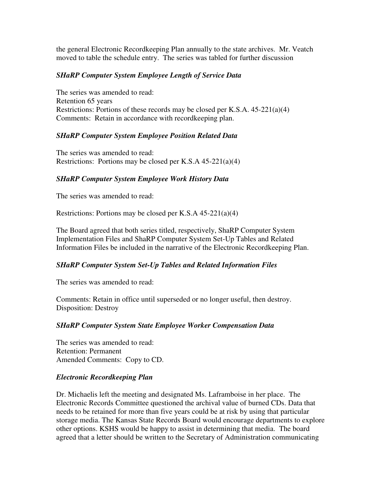the general Electronic Recordkeeping Plan annually to the state archives. Mr. Veatch moved to table the schedule entry. The series was tabled for further discussion

# *SHaRP Computer System Employee Length of Service Data*

The series was amended to read: Retention 65 years Restrictions: Portions of these records may be closed per K.S.A. 45-221(a)(4) Comments: Retain in accordance with recordkeeping plan.

## *SHaRP Computer System Employee Position Related Data*

The series was amended to read: Restrictions: Portions may be closed per K.S.A 45-221(a)(4)

## *SHaRP Computer System Employee Work History Data*

The series was amended to read:

Restrictions: Portions may be closed per K.S.A 45-221(a)(4)

The Board agreed that both series titled, respectively, ShaRP Computer System Implementation Files and ShaRP Computer System Set-Up Tables and Related Information Files be included in the narrative of the Electronic Recordkeeping Plan.

# *SHaRP Computer System Set-Up Tables and Related Information Files*

The series was amended to read:

Comments: Retain in office until superseded or no longer useful, then destroy. Disposition: Destroy

## *SHaRP Computer System State Employee Worker Compensation Data*

The series was amended to read: Retention: Permanent Amended Comments: Copy to CD.

## *Electronic Recordkeeping Plan*

Dr. Michaelis left the meeting and designated Ms. Laframboise in her place. The Electronic Records Committee questioned the archival value of burned CDs. Data that needs to be retained for more than five years could be at risk by using that particular storage media. The Kansas State Records Board would encourage departments to explore other options. KSHS would be happy to assist in determining that media. The board agreed that a letter should be written to the Secretary of Administration communicating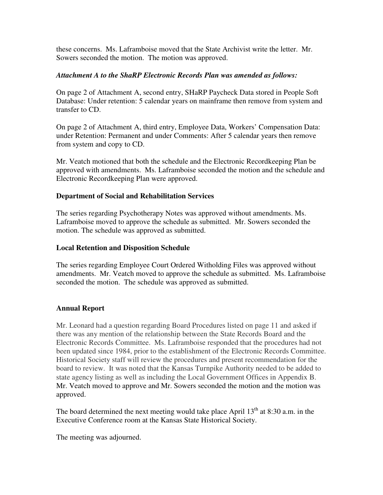these concerns. Ms. Laframboise moved that the State Archivist write the letter. Mr. Sowers seconded the motion. The motion was approved.

## *Attachment A to the ShaRP Electronic Records Plan was amended as follows:*

On page 2 of Attachment A, second entry, SHaRP Paycheck Data stored in People Soft Database: Under retention: 5 calendar years on mainframe then remove from system and transfer to CD.

On page 2 of Attachment A, third entry, Employee Data, Workers' Compensation Data: under Retention: Permanent and under Comments: After 5 calendar years then remove from system and copy to CD.

Mr. Veatch motioned that both the schedule and the Electronic Recordkeeping Plan be approved with amendments. Ms. Laframboise seconded the motion and the schedule and Electronic Recordkeeping Plan were approved.

## **Department of Social and Rehabilitation Services**

The series regarding Psychotherapy Notes was approved without amendments. Ms. Laframboise moved to approve the schedule as submitted. Mr. Sowers seconded the motion. The schedule was approved as submitted.

## **Local Retention and Disposition Schedule**

The series regarding Employee Court Ordered Witholding Files was approved without amendments. Mr. Veatch moved to approve the schedule as submitted. Ms. Laframboise seconded the motion. The schedule was approved as submitted.

# **Annual Report**

Mr. Leonard had a question regarding Board Procedures listed on page 11 and asked if there was any mention of the relationship between the State Records Board and the Electronic Records Committee. Ms. Laframboise responded that the procedures had not been updated since 1984, prior to the establishment of the Electronic Records Committee. Historical Society staff will review the procedures and present recommendation for the board to review. It was noted that the Kansas Turnpike Authority needed to be added to state agency listing as well as including the Local Government Offices in Appendix B. Mr. Veatch moved to approve and Mr. Sowers seconded the motion and the motion was approved.

The board determined the next meeting would take place April  $13<sup>th</sup>$  at 8:30 a.m. in the Executive Conference room at the Kansas State Historical Society.

The meeting was adjourned.